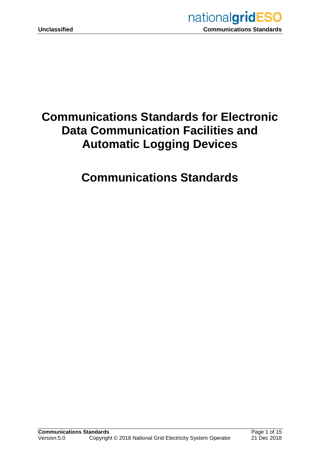

# **Communications Standards for Electronic Data Communication Facilities and Automatic Logging Devices**

# **Communications Standards**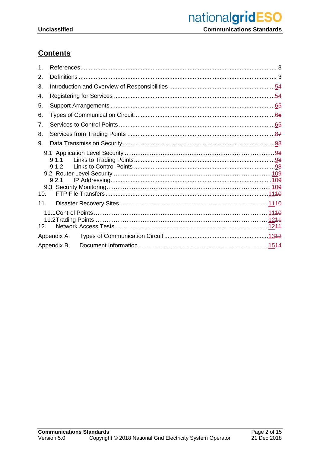## **Contents**

| 1.  |                 |  |  |  |
|-----|-----------------|--|--|--|
| 2.  |                 |  |  |  |
| 3.  |                 |  |  |  |
| 4.  |                 |  |  |  |
| 5.  |                 |  |  |  |
| 6.  |                 |  |  |  |
| 7.  |                 |  |  |  |
| 8.  |                 |  |  |  |
| 9.  |                 |  |  |  |
|     | 9.1.1<br>9.2.1  |  |  |  |
| 10. |                 |  |  |  |
| 11. | 12 <sup>1</sup> |  |  |  |
|     | Appendix A:     |  |  |  |
|     | Appendix B:     |  |  |  |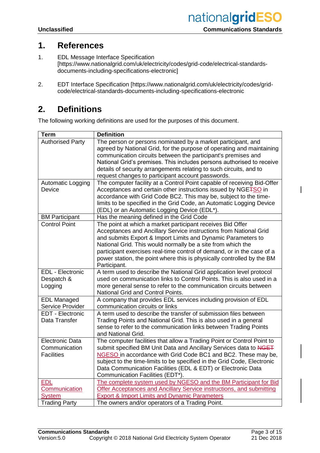## **1. References**

- 1. EDL Message Interface Specification [https://www.nationalgrid.com/uk/electricity/codes/grid-code/electrical-standardsdocuments-including-specifications-electronic]
- 2. EDT Interface Specification [https://www.nationalgrid.com/uk/electricity/codes/gridcode/electrical-standards-documents-including-specifications-electronic

## **2. Definitions**

The following working definitions are used for the purposes of this document.

| <b>Authorised Party</b><br>The person or persons nominated by a market participant, and<br>agreed by National Grid, for the purpose of operating and maintaining<br>communication circuits between the participant's premises and<br>National Grid's premises. This includes persons authorised to receive<br>details of security arrangements relating to such circuits, and to<br>request changes to participant account passwords.<br>The computer facility at a Control Point capable of receiving Bid-Offer<br>Automatic Logging<br>Acceptances and certain other instructions issued by NGE <sub>TSO</sub> in<br>Device<br>accordance with Grid Code BC2. This may be, subject to the time-<br>limits to be specified in the Grid Code, an Automatic Logging Device<br>(EDL) or an Automatic Logging Device (EDL*).<br>Has the meaning defined in the Grid Code<br><b>BM Participant</b><br><b>Control Point</b><br>The point at which a market participant receives Bid Offer<br>Acceptances and Ancillary Service instructions from National Grid<br>and submits Export & Import Limits and Dynamic Parameters to<br>National Grid. This would normally be a site from which the<br>participant exercises real-time control of demand, or in the case of a<br>power station, the point where this is physically controlled by the BM<br>Participant.<br><b>EDL</b> - Electronic<br>A term used to describe the National Grid application level protocol<br>used on communication links to Control Points. This is also used in a<br>Despatch &<br>Logging<br>more general sense to refer to the communication circuits between<br>National Grid and Control Points.<br>A company that provides EDL services including provision of EDL<br><b>EDL Managed</b><br>Service Provider<br>communication circuits or links<br>A term used to describe the transfer of submission files between<br><b>EDT - Electronic</b><br>Data Transfer<br>Trading Points and National Grid. This is also used in a general<br>sense to refer to the communication links between Trading Points<br>and National Grid.<br><b>Electronic Data</b><br>The computer facilities that allow a Trading Point or Control Point to<br>submit specified BM Unit Data and Ancillary Services data to NGET<br>Communication<br><b>Facilities</b><br>NGESO in accordance with Grid Code BC1 and BC2. These may be,<br>subject to the time-limits to be specified in the Grid Code, Electronic<br>Data Communication Facilities (EDL & EDT) or Electronic Data | <b>Term</b> | <b>Definition</b>                |
|--------------------------------------------------------------------------------------------------------------------------------------------------------------------------------------------------------------------------------------------------------------------------------------------------------------------------------------------------------------------------------------------------------------------------------------------------------------------------------------------------------------------------------------------------------------------------------------------------------------------------------------------------------------------------------------------------------------------------------------------------------------------------------------------------------------------------------------------------------------------------------------------------------------------------------------------------------------------------------------------------------------------------------------------------------------------------------------------------------------------------------------------------------------------------------------------------------------------------------------------------------------------------------------------------------------------------------------------------------------------------------------------------------------------------------------------------------------------------------------------------------------------------------------------------------------------------------------------------------------------------------------------------------------------------------------------------------------------------------------------------------------------------------------------------------------------------------------------------------------------------------------------------------------------------------------------------------------------------------------------------------------------------------------------------------------------------------------------------------------------------------------------------------------------------------------------------------------------------------------------------------------------------------------------------------------------------------------------------------------------------------------------------------------------------------------------------------------------------------------------------------------------------------------|-------------|----------------------------------|
|                                                                                                                                                                                                                                                                                                                                                                                                                                                                                                                                                                                                                                                                                                                                                                                                                                                                                                                                                                                                                                                                                                                                                                                                                                                                                                                                                                                                                                                                                                                                                                                                                                                                                                                                                                                                                                                                                                                                                                                                                                                                                                                                                                                                                                                                                                                                                                                                                                                                                                                                      |             |                                  |
|                                                                                                                                                                                                                                                                                                                                                                                                                                                                                                                                                                                                                                                                                                                                                                                                                                                                                                                                                                                                                                                                                                                                                                                                                                                                                                                                                                                                                                                                                                                                                                                                                                                                                                                                                                                                                                                                                                                                                                                                                                                                                                                                                                                                                                                                                                                                                                                                                                                                                                                                      |             |                                  |
|                                                                                                                                                                                                                                                                                                                                                                                                                                                                                                                                                                                                                                                                                                                                                                                                                                                                                                                                                                                                                                                                                                                                                                                                                                                                                                                                                                                                                                                                                                                                                                                                                                                                                                                                                                                                                                                                                                                                                                                                                                                                                                                                                                                                                                                                                                                                                                                                                                                                                                                                      |             |                                  |
|                                                                                                                                                                                                                                                                                                                                                                                                                                                                                                                                                                                                                                                                                                                                                                                                                                                                                                                                                                                                                                                                                                                                                                                                                                                                                                                                                                                                                                                                                                                                                                                                                                                                                                                                                                                                                                                                                                                                                                                                                                                                                                                                                                                                                                                                                                                                                                                                                                                                                                                                      |             |                                  |
|                                                                                                                                                                                                                                                                                                                                                                                                                                                                                                                                                                                                                                                                                                                                                                                                                                                                                                                                                                                                                                                                                                                                                                                                                                                                                                                                                                                                                                                                                                                                                                                                                                                                                                                                                                                                                                                                                                                                                                                                                                                                                                                                                                                                                                                                                                                                                                                                                                                                                                                                      |             |                                  |
|                                                                                                                                                                                                                                                                                                                                                                                                                                                                                                                                                                                                                                                                                                                                                                                                                                                                                                                                                                                                                                                                                                                                                                                                                                                                                                                                                                                                                                                                                                                                                                                                                                                                                                                                                                                                                                                                                                                                                                                                                                                                                                                                                                                                                                                                                                                                                                                                                                                                                                                                      |             |                                  |
|                                                                                                                                                                                                                                                                                                                                                                                                                                                                                                                                                                                                                                                                                                                                                                                                                                                                                                                                                                                                                                                                                                                                                                                                                                                                                                                                                                                                                                                                                                                                                                                                                                                                                                                                                                                                                                                                                                                                                                                                                                                                                                                                                                                                                                                                                                                                                                                                                                                                                                                                      |             |                                  |
|                                                                                                                                                                                                                                                                                                                                                                                                                                                                                                                                                                                                                                                                                                                                                                                                                                                                                                                                                                                                                                                                                                                                                                                                                                                                                                                                                                                                                                                                                                                                                                                                                                                                                                                                                                                                                                                                                                                                                                                                                                                                                                                                                                                                                                                                                                                                                                                                                                                                                                                                      |             |                                  |
|                                                                                                                                                                                                                                                                                                                                                                                                                                                                                                                                                                                                                                                                                                                                                                                                                                                                                                                                                                                                                                                                                                                                                                                                                                                                                                                                                                                                                                                                                                                                                                                                                                                                                                                                                                                                                                                                                                                                                                                                                                                                                                                                                                                                                                                                                                                                                                                                                                                                                                                                      |             |                                  |
|                                                                                                                                                                                                                                                                                                                                                                                                                                                                                                                                                                                                                                                                                                                                                                                                                                                                                                                                                                                                                                                                                                                                                                                                                                                                                                                                                                                                                                                                                                                                                                                                                                                                                                                                                                                                                                                                                                                                                                                                                                                                                                                                                                                                                                                                                                                                                                                                                                                                                                                                      |             |                                  |
|                                                                                                                                                                                                                                                                                                                                                                                                                                                                                                                                                                                                                                                                                                                                                                                                                                                                                                                                                                                                                                                                                                                                                                                                                                                                                                                                                                                                                                                                                                                                                                                                                                                                                                                                                                                                                                                                                                                                                                                                                                                                                                                                                                                                                                                                                                                                                                                                                                                                                                                                      |             |                                  |
|                                                                                                                                                                                                                                                                                                                                                                                                                                                                                                                                                                                                                                                                                                                                                                                                                                                                                                                                                                                                                                                                                                                                                                                                                                                                                                                                                                                                                                                                                                                                                                                                                                                                                                                                                                                                                                                                                                                                                                                                                                                                                                                                                                                                                                                                                                                                                                                                                                                                                                                                      |             |                                  |
|                                                                                                                                                                                                                                                                                                                                                                                                                                                                                                                                                                                                                                                                                                                                                                                                                                                                                                                                                                                                                                                                                                                                                                                                                                                                                                                                                                                                                                                                                                                                                                                                                                                                                                                                                                                                                                                                                                                                                                                                                                                                                                                                                                                                                                                                                                                                                                                                                                                                                                                                      |             |                                  |
|                                                                                                                                                                                                                                                                                                                                                                                                                                                                                                                                                                                                                                                                                                                                                                                                                                                                                                                                                                                                                                                                                                                                                                                                                                                                                                                                                                                                                                                                                                                                                                                                                                                                                                                                                                                                                                                                                                                                                                                                                                                                                                                                                                                                                                                                                                                                                                                                                                                                                                                                      |             |                                  |
|                                                                                                                                                                                                                                                                                                                                                                                                                                                                                                                                                                                                                                                                                                                                                                                                                                                                                                                                                                                                                                                                                                                                                                                                                                                                                                                                                                                                                                                                                                                                                                                                                                                                                                                                                                                                                                                                                                                                                                                                                                                                                                                                                                                                                                                                                                                                                                                                                                                                                                                                      |             |                                  |
|                                                                                                                                                                                                                                                                                                                                                                                                                                                                                                                                                                                                                                                                                                                                                                                                                                                                                                                                                                                                                                                                                                                                                                                                                                                                                                                                                                                                                                                                                                                                                                                                                                                                                                                                                                                                                                                                                                                                                                                                                                                                                                                                                                                                                                                                                                                                                                                                                                                                                                                                      |             |                                  |
|                                                                                                                                                                                                                                                                                                                                                                                                                                                                                                                                                                                                                                                                                                                                                                                                                                                                                                                                                                                                                                                                                                                                                                                                                                                                                                                                                                                                                                                                                                                                                                                                                                                                                                                                                                                                                                                                                                                                                                                                                                                                                                                                                                                                                                                                                                                                                                                                                                                                                                                                      |             |                                  |
|                                                                                                                                                                                                                                                                                                                                                                                                                                                                                                                                                                                                                                                                                                                                                                                                                                                                                                                                                                                                                                                                                                                                                                                                                                                                                                                                                                                                                                                                                                                                                                                                                                                                                                                                                                                                                                                                                                                                                                                                                                                                                                                                                                                                                                                                                                                                                                                                                                                                                                                                      |             |                                  |
|                                                                                                                                                                                                                                                                                                                                                                                                                                                                                                                                                                                                                                                                                                                                                                                                                                                                                                                                                                                                                                                                                                                                                                                                                                                                                                                                                                                                                                                                                                                                                                                                                                                                                                                                                                                                                                                                                                                                                                                                                                                                                                                                                                                                                                                                                                                                                                                                                                                                                                                                      |             |                                  |
|                                                                                                                                                                                                                                                                                                                                                                                                                                                                                                                                                                                                                                                                                                                                                                                                                                                                                                                                                                                                                                                                                                                                                                                                                                                                                                                                                                                                                                                                                                                                                                                                                                                                                                                                                                                                                                                                                                                                                                                                                                                                                                                                                                                                                                                                                                                                                                                                                                                                                                                                      |             |                                  |
|                                                                                                                                                                                                                                                                                                                                                                                                                                                                                                                                                                                                                                                                                                                                                                                                                                                                                                                                                                                                                                                                                                                                                                                                                                                                                                                                                                                                                                                                                                                                                                                                                                                                                                                                                                                                                                                                                                                                                                                                                                                                                                                                                                                                                                                                                                                                                                                                                                                                                                                                      |             |                                  |
|                                                                                                                                                                                                                                                                                                                                                                                                                                                                                                                                                                                                                                                                                                                                                                                                                                                                                                                                                                                                                                                                                                                                                                                                                                                                                                                                                                                                                                                                                                                                                                                                                                                                                                                                                                                                                                                                                                                                                                                                                                                                                                                                                                                                                                                                                                                                                                                                                                                                                                                                      |             |                                  |
|                                                                                                                                                                                                                                                                                                                                                                                                                                                                                                                                                                                                                                                                                                                                                                                                                                                                                                                                                                                                                                                                                                                                                                                                                                                                                                                                                                                                                                                                                                                                                                                                                                                                                                                                                                                                                                                                                                                                                                                                                                                                                                                                                                                                                                                                                                                                                                                                                                                                                                                                      |             |                                  |
|                                                                                                                                                                                                                                                                                                                                                                                                                                                                                                                                                                                                                                                                                                                                                                                                                                                                                                                                                                                                                                                                                                                                                                                                                                                                                                                                                                                                                                                                                                                                                                                                                                                                                                                                                                                                                                                                                                                                                                                                                                                                                                                                                                                                                                                                                                                                                                                                                                                                                                                                      |             |                                  |
|                                                                                                                                                                                                                                                                                                                                                                                                                                                                                                                                                                                                                                                                                                                                                                                                                                                                                                                                                                                                                                                                                                                                                                                                                                                                                                                                                                                                                                                                                                                                                                                                                                                                                                                                                                                                                                                                                                                                                                                                                                                                                                                                                                                                                                                                                                                                                                                                                                                                                                                                      |             |                                  |
|                                                                                                                                                                                                                                                                                                                                                                                                                                                                                                                                                                                                                                                                                                                                                                                                                                                                                                                                                                                                                                                                                                                                                                                                                                                                                                                                                                                                                                                                                                                                                                                                                                                                                                                                                                                                                                                                                                                                                                                                                                                                                                                                                                                                                                                                                                                                                                                                                                                                                                                                      |             |                                  |
|                                                                                                                                                                                                                                                                                                                                                                                                                                                                                                                                                                                                                                                                                                                                                                                                                                                                                                                                                                                                                                                                                                                                                                                                                                                                                                                                                                                                                                                                                                                                                                                                                                                                                                                                                                                                                                                                                                                                                                                                                                                                                                                                                                                                                                                                                                                                                                                                                                                                                                                                      |             |                                  |
|                                                                                                                                                                                                                                                                                                                                                                                                                                                                                                                                                                                                                                                                                                                                                                                                                                                                                                                                                                                                                                                                                                                                                                                                                                                                                                                                                                                                                                                                                                                                                                                                                                                                                                                                                                                                                                                                                                                                                                                                                                                                                                                                                                                                                                                                                                                                                                                                                                                                                                                                      |             |                                  |
|                                                                                                                                                                                                                                                                                                                                                                                                                                                                                                                                                                                                                                                                                                                                                                                                                                                                                                                                                                                                                                                                                                                                                                                                                                                                                                                                                                                                                                                                                                                                                                                                                                                                                                                                                                                                                                                                                                                                                                                                                                                                                                                                                                                                                                                                                                                                                                                                                                                                                                                                      |             |                                  |
|                                                                                                                                                                                                                                                                                                                                                                                                                                                                                                                                                                                                                                                                                                                                                                                                                                                                                                                                                                                                                                                                                                                                                                                                                                                                                                                                                                                                                                                                                                                                                                                                                                                                                                                                                                                                                                                                                                                                                                                                                                                                                                                                                                                                                                                                                                                                                                                                                                                                                                                                      |             |                                  |
|                                                                                                                                                                                                                                                                                                                                                                                                                                                                                                                                                                                                                                                                                                                                                                                                                                                                                                                                                                                                                                                                                                                                                                                                                                                                                                                                                                                                                                                                                                                                                                                                                                                                                                                                                                                                                                                                                                                                                                                                                                                                                                                                                                                                                                                                                                                                                                                                                                                                                                                                      |             |                                  |
|                                                                                                                                                                                                                                                                                                                                                                                                                                                                                                                                                                                                                                                                                                                                                                                                                                                                                                                                                                                                                                                                                                                                                                                                                                                                                                                                                                                                                                                                                                                                                                                                                                                                                                                                                                                                                                                                                                                                                                                                                                                                                                                                                                                                                                                                                                                                                                                                                                                                                                                                      |             |                                  |
|                                                                                                                                                                                                                                                                                                                                                                                                                                                                                                                                                                                                                                                                                                                                                                                                                                                                                                                                                                                                                                                                                                                                                                                                                                                                                                                                                                                                                                                                                                                                                                                                                                                                                                                                                                                                                                                                                                                                                                                                                                                                                                                                                                                                                                                                                                                                                                                                                                                                                                                                      |             |                                  |
|                                                                                                                                                                                                                                                                                                                                                                                                                                                                                                                                                                                                                                                                                                                                                                                                                                                                                                                                                                                                                                                                                                                                                                                                                                                                                                                                                                                                                                                                                                                                                                                                                                                                                                                                                                                                                                                                                                                                                                                                                                                                                                                                                                                                                                                                                                                                                                                                                                                                                                                                      |             | Communication Facilities (EDT*). |
| The complete system used by NGESO and the BM Participant for Bid<br><b>EDL</b>                                                                                                                                                                                                                                                                                                                                                                                                                                                                                                                                                                                                                                                                                                                                                                                                                                                                                                                                                                                                                                                                                                                                                                                                                                                                                                                                                                                                                                                                                                                                                                                                                                                                                                                                                                                                                                                                                                                                                                                                                                                                                                                                                                                                                                                                                                                                                                                                                                                       |             |                                  |
| Communication<br>Offer Acceptances and Ancillary Service instructions, and submitting                                                                                                                                                                                                                                                                                                                                                                                                                                                                                                                                                                                                                                                                                                                                                                                                                                                                                                                                                                                                                                                                                                                                                                                                                                                                                                                                                                                                                                                                                                                                                                                                                                                                                                                                                                                                                                                                                                                                                                                                                                                                                                                                                                                                                                                                                                                                                                                                                                                |             |                                  |
| <b>Export &amp; Import Limits and Dynamic Parameters</b><br><b>System</b>                                                                                                                                                                                                                                                                                                                                                                                                                                                                                                                                                                                                                                                                                                                                                                                                                                                                                                                                                                                                                                                                                                                                                                                                                                                                                                                                                                                                                                                                                                                                                                                                                                                                                                                                                                                                                                                                                                                                                                                                                                                                                                                                                                                                                                                                                                                                                                                                                                                            |             |                                  |
| <b>Trading Party</b><br>The owners and/or operators of a Trading Point.                                                                                                                                                                                                                                                                                                                                                                                                                                                                                                                                                                                                                                                                                                                                                                                                                                                                                                                                                                                                                                                                                                                                                                                                                                                                                                                                                                                                                                                                                                                                                                                                                                                                                                                                                                                                                                                                                                                                                                                                                                                                                                                                                                                                                                                                                                                                                                                                                                                              |             |                                  |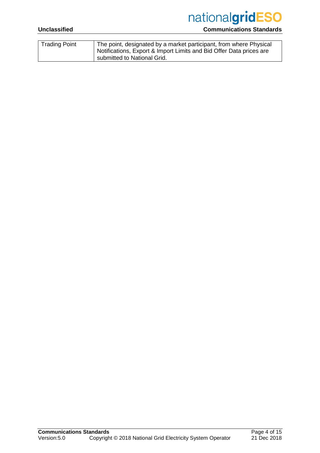# nationalgridESO

### **Unclassified Communications Standards**

| The point, designated by a market participant, from where Physical<br>Notifications, Export & Import Limits and Bid Offer Data prices are<br>submitted to National Grid. |
|--------------------------------------------------------------------------------------------------------------------------------------------------------------------------|
|                                                                                                                                                                          |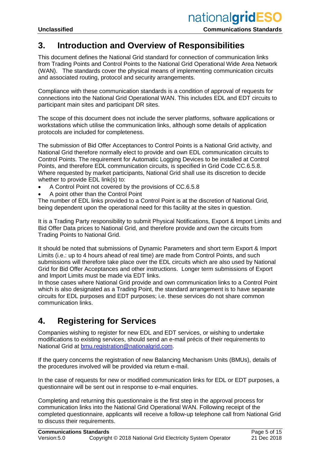## **3. Introduction and Overview of Responsibilities**

This document defines the National Grid standard for connection of communication links from Trading Points and Control Points to the National Grid Operational Wide Area Network (WAN). The standards cover the physical means of implementing communication circuits and associated routing, protocol and security arrangements.

Compliance with these communication standards is a condition of approval of requests for connections into the National Grid Operational WAN. This includes EDL and EDT circuits to participant main sites and participant DR sites.

The scope of this document does not include the server platforms, software applications or workstations which utilise the communication links, although some details of application protocols are included for completeness.

The submission of Bid Offer Acceptances to Control Points is a National Grid activity, and National Grid therefore normally elect to provide and own EDL communication circuits to Control Points. The requirement for Automatic Logging Devices to be installed at Control Points, and therefore EDL communication circuits, is specified in Grid Code CC.6.5.8. Where requested by market participants, National Grid shall use its discretion to decide whether to provide EDL link(s) to:

- A Control Point not covered by the provisions of CC.6.5.8
- A point other than the Control Point

The number of EDL links provided to a Control Point is at the discretion of National Grid, being dependent upon the operational need for this facility at the sites in question.

It is a Trading Party responsibility to submit Physical Notifications, Export & Import Limits and Bid Offer Data prices to National Grid, and therefore provide and own the circuits from Trading Points to National Grid.

It should be noted that submissions of Dynamic Parameters and short term Export & Import Limits (i.e.: up to 4 hours ahead of real time) are made from Control Points, and such submissions will therefore take place over the EDL circuits which are also used by National Grid for Bid Offer Acceptances and other instructions. Longer term submissions of Export and Import Limits must be made via EDT links.

In those cases where National Grid provide and own communication links to a Control Point which is also designated as a Trading Point, the standard arrangement is to have separate circuits for EDL purposes and EDT purposes; i.e. these services do not share common communication links.

## **4. Registering for Services**

Companies wishing to register for new EDL and EDT services, or wishing to undertake modifications to existing services, should send an e-mail précis of their requirements to National Grid at [bmu.registration@nationalgrid.com.](mailto:bmu.registration@nationalgrid.com)

If the query concerns the registration of new Balancing Mechanism Units (BMUs), details of the procedures involved will be provided via return e-mail.

In the case of requests for new or modified communication links for EDL or EDT purposes, a questionnaire will be sent out in response to e-mail enquiries.

Completing and returning this questionnaire is the first step in the approval process for communication links into the National Grid Operational WAN. Following receipt of the completed questionnaire, applicants will receive a follow-up telephone call from National Grid to discuss their requirements.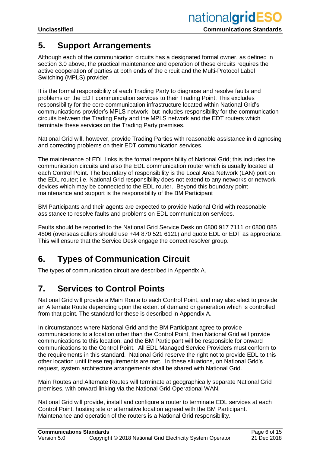## **5. Support Arrangements**

Although each of the communication circuits has a designated formal owner, as defined in section 3.0 above, the practical maintenance and operation of these circuits requires the active cooperation of parties at both ends of the circuit and the Multi-Protocol Label Switching (MPLS) provider.

It is the formal responsibility of each Trading Party to diagnose and resolve faults and problems on the EDT communication services to their Trading Point. This excludes responsibility for the core communication infrastructure located within National Grid's communications provider's MPLS network, but includes responsibility for the communication circuits between the Trading Party and the MPLS network and the EDT routers which terminate these services on the Trading Party premises.

National Grid will, however, provide Trading Parties with reasonable assistance in diagnosing and correcting problems on their EDT communication services.

The maintenance of EDL links is the formal responsibility of National Grid; this includes the communication circuits and also the EDL communication router which is usually located at each Control Point. The boundary of responsibility is the Local Area Network (LAN) port on the EDL router; i.e. National Grid responsibility does not extend to any networks or network devices which may be connected to the EDL router. Beyond this boundary point maintenance and support is the responsibility of the BM Participant

BM Participants and their agents are expected to provide National Grid with reasonable assistance to resolve faults and problems on EDL communication services.

Faults should be reported to the National Grid Service Desk on 0800 917 7111 or 0800 085 4806 (overseas callers should use +44 870 521 6121) and quote EDL or EDT as appropriate. This will ensure that the Service Desk engage the correct resolver group.

## **6. Types of Communication Circuit**

The types of communication circuit are described in Appendix A.

## **7. Services to Control Points**

National Grid will provide a Main Route to each Control Point, and may also elect to provide an Alternate Route depending upon the extent of demand or generation which is controlled from that point. The standard for these is described in Appendix A.

In circumstances where National Grid and the BM Participant agree to provide communications to a location other than the Control Point, then National Grid will provide communications to this location, and the BM Participant will be responsible for onward communications to the Control Point. All EDL Managed Service Providers must conform to the requirements in this standard. National Grid reserve the right not to provide EDL to this other location until these requirements are met. In these situations, on National Grid's request, system architecture arrangements shall be shared with National Grid.

Main Routes and Alternate Routes will terminate at geographically separate National Grid premises, with onward linking via the National Grid Operational WAN.

National Grid will provide, install and configure a router to terminate EDL services at each Control Point, hosting site or alternative location agreed with the BM Participant. Maintenance and operation of the routers is a National Grid responsibility.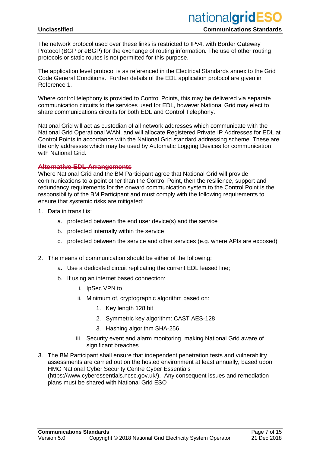The network protocol used over these links is restricted to IPv4, with Border Gateway Protocol (BGP or eBGP) for the exchange of routing information. The use of other routing protocols or static routes is not permitted for this purpose.

The application level protocol is as referenced in the Electrical Standards annex to the Grid Code General Conditions. Further details of the EDL application protocol are given in Reference 1.

Where control telephony is provided to Control Points, this may be delivered via separate communication circuits to the services used for EDL, however National Grid may elect to share communications circuits for both EDL and Control Telephony.

National Grid will act as custodian of all network addresses which communicate with the National Grid Operational WAN, and will allocate Registered Private IP Addresses for EDL at Control Points in accordance with the National Grid standard addressing scheme. These are the only addresses which may be used by Automatic Logging Devices for communication with National Grid.

#### **Alternative EDL Arrangements**

Where National Grid and the BM Participant agree that National Grid will provide communications to a point other than the Control Point, then the resilience, support and redundancy requirements for the onward communication system to the Control Point is the responsibility of the BM Participant and must comply with the following requirements to ensure that systemic risks are mitigated:

- 1. Data in transit is:
	- a. protected between the end user device(s) and the service
	- b. protected internally within the service
	- c. protected between the service and other services (e.g. where APIs are exposed)
- 2. The means of communication should be either of the following:
	- a. Use a dedicated circuit replicating the current EDL leased line;
	- b. If using an internet based connection:
		- i. IpSec VPN to
		- ii. Minimum of, cryptographic algorithm based on:
			- 1. Key length 128 bit
			- 2. Symmetric key algorithm: CAST AES-128
			- 3. Hashing algorithm SHA-256
		- iii. Security event and alarm monitoring, making National Grid aware of significant breaches
- 3. The BM Participant shall ensure that independent penetration tests and vulnerability assessments are carried out on the hosted environment at least annually, based upon HMG National Cyber Security Centre Cyber Essentials [\(https://www.cyberessentials.ncsc.gov.uk/\)](https://www.cyberessentials.ncsc.gov.uk/). Any consequent issues and remediation plans must be shared with National Grid ESO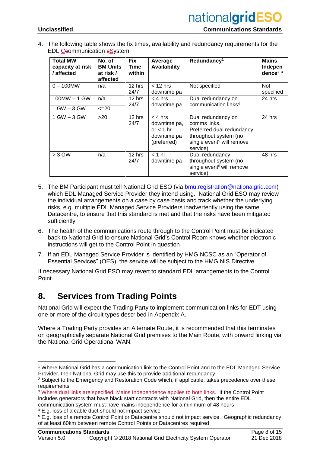4. The following table shows the fix times, availability and redundancy requirements for the EDL Ceommunication sSystem

| <b>Total MW</b><br>capacity at risk<br>/ affected | No. of<br><b>BM Units</b><br>at risk /<br>affected | <b>Fix</b><br>Time<br>within | Average<br>Availability                                                | Redundancy <sup>1</sup>                                                                                                                       | <b>Mains</b><br>Indepen<br>dence <sup>2<math>3</math></sup> |
|---------------------------------------------------|----------------------------------------------------|------------------------------|------------------------------------------------------------------------|-----------------------------------------------------------------------------------------------------------------------------------------------|-------------------------------------------------------------|
| $0 - 100$ MW                                      | n/a                                                | 12 hrs<br>24/7               | $<$ 12 hrs<br>downtime pa                                              | Not specified                                                                                                                                 | <b>Not</b><br>specified                                     |
| $100MW - 1 GW$                                    | n/a                                                | 12 hrs<br>24/7               | $< 4$ hrs<br>downtime pa                                               | Dual redundancy on<br>communication links <sup>4</sup>                                                                                        | 24 hrs                                                      |
| 1 GW – 3 GW                                       | $\leq$ 20                                          |                              |                                                                        |                                                                                                                                               |                                                             |
| $1$ GW $-$ 3 GW                                   | $>20$                                              | 12 hrs<br>24/7               | $<$ 4 hrs<br>downtime pa,<br>or $<$ 1 hr<br>downtime pa<br>(preferred) | Dual redundancy on<br>comms links.<br>Preferred dual redundancy<br>throughout system (no<br>single event <sup>5</sup> will remove<br>service) | 24 hrs                                                      |
| $> 3$ GW                                          | n/a                                                | 12 hrs<br>24/7               | $<$ 1 hr<br>downtime pa                                                | Dual redundancy<br>throughout system (no<br>single event <sup>5</sup> will remove<br>service)                                                 | 48 hrs                                                      |

- <span id="page-7-0"></span>5. The BM Participant must tell National Grid ESO (via [bmu.registration@nationalgrid.com\)](mailto:bmu.registration@nationalgrid.com) which EDL Managed Service Provider they intend using. National Grid ESO may review the individual arrangements on a case by case basis and track whether the underlying risks, e.g. multiple EDL Managed Service Providers inadvertently using the same Datacentre, to ensure that this standard is met and that the risks have been mitigated sufficiently
- 6. The health of the communications route through to the Control Point must be indicated back to National Grid to ensure National Grid's Control Room knows whether electronic instructions will get to the Control Point in question
- 7. If an EDL Managed Service Provider is identified by HMG NCSC as an "Operator of Essential Services" (OES), the service will be subject to the HMG NIS Directive

If necessary National Grid ESO may revert to standard EDL arrangements to the Control Point.

## **8. Services from Trading Points**

National Grid will expect the Trading Party to implement communication links for EDT using one or more of the circuit types described in Appendix A.

Where a Trading Party provides an Alternate Route, it is recommended that this terminates on geographically separate National Grid premises to the Main Route, with onward linking via the National Grid Operational WAN.

 <sup>1</sup> Where National Grid has a communication link to the Control Point and to the EDL Managed Service Provider, then National Grid may use this to provide additional redundancy

<sup>&</sup>lt;sup>2</sup> Subject to the Emergency and Restoration Code which, if applicable, takes precedence over these requirements

<sup>3</sup> Where dual links are specified, Mains Independence applies to both links. If the Control Point includes generators that have black start contracts with National Grid, then the entire EDL communication system must have mains independence for a minimum of 48 hours

<sup>4</sup> E.g. loss of a cable duct should not impact service

<sup>5</sup> E.g. loss of a remote Control Point or Datacentre should not impact service. Geographic redundancy of at least 60km between remote Control Points or Datacentres required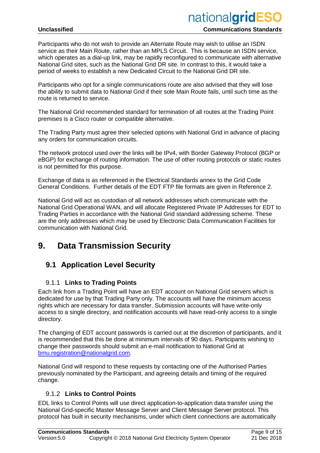#### **Unclassified Communications Standards**

Participants who do not wish to provide an Alternate Route may wish to utilise an ISDN service as their Main Route, rather than an MPLS Circuit. This is because an ISDN service, which operates as a dial-up link, may be rapidly reconfigured to communicate with alternative National Grid sites, such as the National Grid DR site. In contrast to this, it would take a period of weeks to establish a new Dedicated Circuit to the National Grid DR site.

Participants who opt for a single communications route are also advised that they will lose the ability to submit data to National Grid if their sole Main Route fails, until such time as the route is returned to service.

The National Grid recommended standard for termination of all routes at the Trading Point premises is a Cisco router or compatible alternative.

The Trading Party must agree their selected options with National Grid in advance of placing any orders for communication circuits.

The network protocol used over the links will be IPv4, with Border Gateway Protocol (BGP or eBGP) for exchange of routing information. The use of other routing protocols or static routes is not permitted for this purpose.

Exchange of data is as referenced in the Electrical Standards annex to the Grid Code General Conditions. Further details of the EDT FTP file formats are given in Reference 2.

National Grid will act as custodian of all network addresses which communicate with the National Grid Operational WAN, and will allocate Registered Private IP Addresses for EDT to Trading Parties in accordance with the National Grid standard addressing scheme. These are the only addresses which may be used by Electronic Data Communication Facilities for communication with National Grid.

## **9. Data Transmission Security**

## **9.1 Application Level Security**

### 9.1.1 **Links to Trading Points**

Each link from a Trading Point will have an EDT account on National Grid servers which is dedicated for use by that Trading Party only. The accounts will have the minimum access rights which are necessary for data transfer. Submission accounts will have write-only access to a single directory, and notification accounts will have read-only access to a single directory.

The changing of EDT account passwords is carried out at the discretion of participants, and it is recommended that this be done at minimum intervals of 90 days. Participants wishing to change their passwords should submit an e-mail notification to National Grid at [bmu.registration@nationalgrid.com.](mailto:bmu.registration@nationalgrid.com)

National Grid will respond to these requests by contacting one of the Authorised Parties previously nominated by the Participant, and agreeing details and timing of the required change.

### 9.1.2 **Links to Control Points**

EDL links to Control Points will use direct application-to-application data transfer using the National Grid-specific Master Message Server and Client Message Server protocol. This protocol has built in security mechanisms, under which client connections are automatically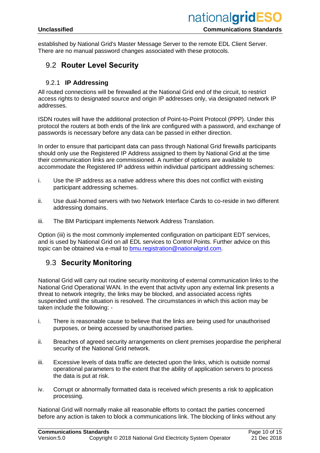established by National Grid's Master Message Server to the remote EDL Client Server. There are no manual password changes associated with these protocols.

## 9.2 **Router Level Security**

#### 9.2.1 **IP Addressing**

All routed connections will be firewalled at the National Grid end of the circuit, to restrict access rights to designated source and origin IP addresses only, via designated network IP addresses.

ISDN routes will have the additional protection of Point-to-Point Protocol (PPP). Under this protocol the routers at both ends of the link are configured with a password, and exchange of passwords is necessary before any data can be passed in either direction.

In order to ensure that participant data can pass through National Grid firewalls participants should only use the Registered IP Address assigned to them by National Grid at the time their communication links are commissioned. A number of options are available to accommodate the Registered IP address within individual participant addressing schemes:

- i. Use the IP address as a native address where this does not conflict with existing participant addressing schemes.
- ii. Use dual-homed servers with two Network Interface Cards to co-reside in two different addressing domains.
- iii. The BM Participant implements Network Address Translation.

Option (iii) is the most commonly implemented configuration on participant EDT services, and is used by National Grid on all EDL services to Control Points. Further advice on this topic can be obtained via e-mail to [bmu.registration@nationalgrid.com.](mailto:bmu.registration@nationalgrid.com)

## 9.3 **Security Monitoring**

National Grid will carry out routine security monitoring of external communication links to the National Grid Operational WAN. In the event that activity upon any external link presents a threat to network integrity, the links may be blocked, and associated access rights suspended until the situation is resolved. The circumstances in which this action may be taken include the following: -

- i. There is reasonable cause to believe that the links are being used for unauthorised purposes, or being accessed by unauthorised parties.
- ii. Breaches of agreed security arrangements on client premises jeopardise the peripheral security of the National Grid network.
- iii. Excessive levels of data traffic are detected upon the links, which is outside normal operational parameters to the extent that the ability of application servers to process the data is put at risk.
- iv. Corrupt or abnormally formatted data is received which presents a risk to application processing.

National Grid will normally make all reasonable efforts to contact the parties concerned before any action is taken to block a communications link. The blocking of links without any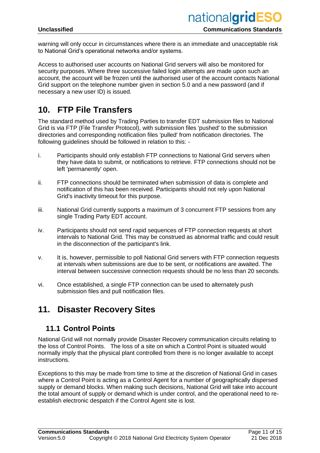warning will only occur in circumstances where there is an immediate and unacceptable risk to National Grid's operational networks and/or systems.

Access to authorised user accounts on National Grid servers will also be monitored for security purposes. Where three successive failed login attempts are made upon such an account, the account will be frozen until the authorised user of the account contacts National Grid support on the telephone number given in section 5.0 and a new password (and if necessary a new user ID) is issued.

## **10. FTP File Transfers**

The standard method used by Trading Parties to transfer EDT submission files to National Grid is via FTP (File Transfer Protocol), with submission files 'pushed' to the submission directories and corresponding notification files 'pulled' from notification directories. The following guidelines should be followed in relation to this: -

- i. Participants should only establish FTP connections to National Grid servers when they have data to submit, or notifications to retrieve. FTP connections should not be left 'permanently' open.
- ii. FTP connections should be terminated when submission of data is complete and notification of this has been received. Participants should not rely upon National Grid's inactivity timeout for this purpose.
- iii. National Grid currently supports a maximum of 3 concurrent FTP sessions from any single Trading Party EDT account.
- iv. Participants should not send rapid sequences of FTP connection requests at short intervals to National Grid. This may be construed as abnormal traffic and could result in the disconnection of the participant's link.
- v. It is, however, permissible to poll National Grid servers with FTP connection requests at intervals when submissions are due to be sent, or notifications are awaited. The interval between successive connection requests should be no less than 20 seconds.
- vi. Once established, a single FTP connection can be used to alternately push submission files and pull notification files.

## **11. Disaster Recovery Sites**

## **11.1 Control Points**

National Grid will not normally provide Disaster Recovery communication circuits relating to the loss of Control Points. The loss of a site on which a Control Point is situated would normally imply that the physical plant controlled from there is no longer available to accept instructions.

Exceptions to this may be made from time to time at the discretion of National Grid in cases where a Control Point is acting as a Control Agent for a number of geographically dispersed supply or demand blocks. When making such decisions, National Grid will take into account the total amount of supply or demand which is under control, and the operational need to reestablish electronic despatch if the Control Agent site is lost.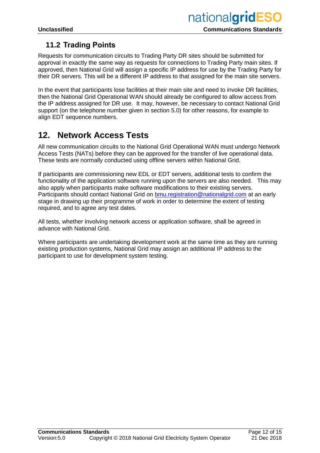## **11.2 Trading Points**

Requests for communication circuits to Trading Party DR sites should be submitted for approval in exactly the same way as requests for connections to Trading Party main sites. If approved, then National Grid will assign a specific IP address for use by the Trading Party for their DR servers. This will be a different IP address to that assigned for the main site servers.

In the event that participants lose facilities at their main site and need to invoke DR facilities, then the National Grid Operational WAN should already be configured to allow access from the IP address assigned for DR use. It may, however, be necessary to contact National Grid support (on the telephone number given in section 5.0) for other reasons, for example to align EDT sequence numbers.

## **12. Network Access Tests**

All new communication circuits to the National Grid Operational WAN must undergo Network Access Tests (NATs) before they can be approved for the transfer of live operational data. These tests are normally conducted using offline servers within National Grid.

If participants are commissioning new EDL or EDT servers, additional tests to confirm the functionality of the application software running upon the servers are also needed. This may also apply when participants make software modifications to their existing servers. Participants should contact National Grid on [bmu.registration@nationalgrid.com](mailto:bmu.registration@nationalgrid.com) at an early stage in drawing up their programme of work in order to determine the extent of testing required, and to agree any test dates.

All tests, whether involving network access or application software, shall be agreed in advance with National Grid.

Where participants are undertaking development work at the same time as they are running existing production systems, National Grid may assign an additional IP address to the participant to use for development system testing.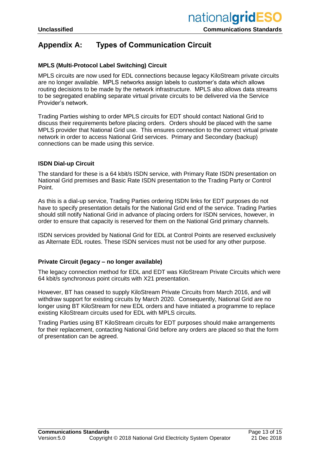## **Appendix A: Types of Communication Circuit**

#### **MPLS (Multi-Protocol Label Switching) Circuit**

MPLS circuits are now used for EDL connections because legacy KiloStream private circuits are no longer available. MPLS networks assign labels to customer's data which allows routing decisions to be made by the network infrastructure. MPLS also allows data streams to be segregated enabling separate virtual private circuits to be delivered via the Service Provider's network.

Trading Parties wishing to order MPLS circuits for EDT should contact National Grid to discuss their requirements before placing orders. Orders should be placed with the same MPLS provider that National Grid use. This ensures connection to the correct virtual private network in order to access National Grid services. Primary and Secondary (backup) connections can be made using this service.

#### **ISDN Dial-up Circuit**

The standard for these is a 64 kbit/s ISDN service, with Primary Rate ISDN presentation on National Grid premises and Basic Rate ISDN presentation to the Trading Party or Control Point.

As this is a dial-up service, Trading Parties ordering ISDN links for EDT purposes do not have to specify presentation details for the National Grid end of the service. Trading Parties should still notify National Grid in advance of placing orders for ISDN services, however, in order to ensure that capacity is reserved for them on the National Grid primary channels.

ISDN services provided by National Grid for EDL at Control Points are reserved exclusively as Alternate EDL routes. These ISDN services must not be used for any other purpose.

#### **Private Circuit (legacy – no longer available)**

The legacy connection method for EDL and EDT was KiloStream Private Circuits which were 64 kbit/s synchronous point circuits with X21 presentation.

However, BT has ceased to supply KiloStream Private Circuits from March 2016, and will withdraw support for existing circuits by March 2020. Consequently, National Grid are no longer using BT KiloStream for new EDL orders and have initiated a programme to replace existing KiloStream circuits used for EDL with MPLS circuits.

Trading Parties using BT KiloStream circuits for EDT purposes should make arrangements for their replacement, contacting National Grid before any orders are placed so that the form of presentation can be agreed.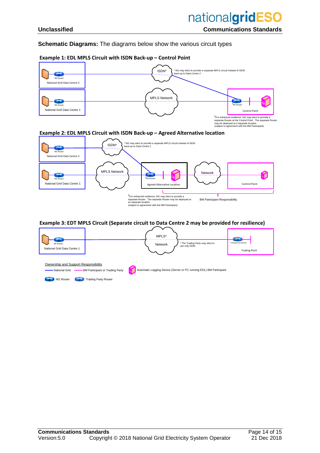#### **Schematic Diagrams:** The diagrams below show the various circuit types

#### **Example 1: EDL MPLS Circuit with ISDN Back-up – Control Point**



<sup>†</sup> For enhanced resilience, NG may elect to provide a separate Router. The separate Router may be deployed at an separate location<br>an separate location<br>(subject to agreement with the BM Participant)

#### **Example 3: EDT MPLS Circuit (Separate circuit to Data Centre 2 may be provided for resilience)**

| œ<br>NG Router<br>National Grid Data Centre 1                             |                                                                | MPLS*<br>Network | * The Trading Party may elect to<br>use only ISDN                  | <b>Contract</b><br><b>Trading Point Router</b><br><b>Trading Point</b> |
|---------------------------------------------------------------------------|----------------------------------------------------------------|------------------|--------------------------------------------------------------------|------------------------------------------------------------------------|
| Ownership and Support Responsibility<br>National Grid<br><b>NG Router</b> | BM Participant or Trading Party<br><b>Trading Party Router</b> |                  | Automatic Logging Device (Server or PC running EDL) BM Participant |                                                                        |